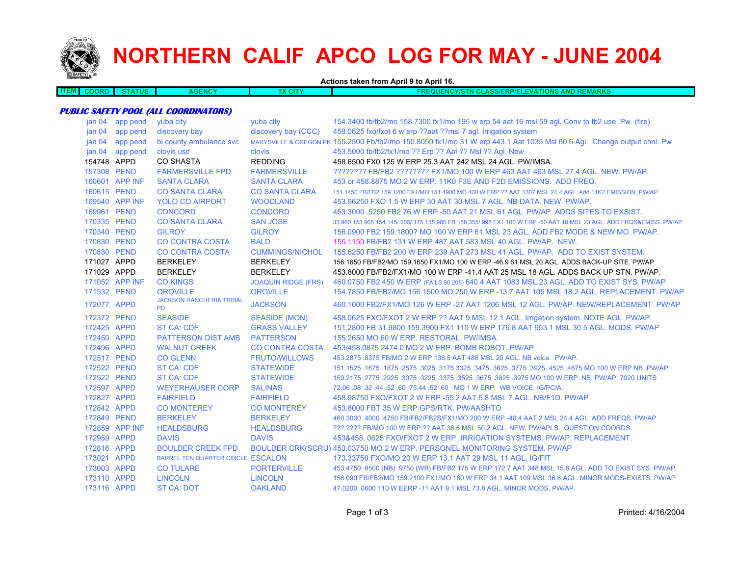

## **NORTHERN CALIF APCO LOG FOR MAY - JUNE 2004**

**Actions taken from April 9 to April 16.**

**ITEM COORD STATUS AGENCY TX CITY FREQUENCY/STN CLASS/ERP/ELEVATIONS AND REMARKSPUBLIC SAFETY POOL (ALL COORDINATORS)** jan 04 app pend yuba city yuba city 154.3400 fb/fb2/mo 158.7300 fx1/mo 195 w erp 54 aat 16 msl 59 agl. Conv to fb2 use. Pw. (fire) jan 04 app pend discovery bay discovery bay (CCC) 458.0625 fxo/fxot 6 w erp ??aat ??msl 7 agl. Irrigation system jan 04 app pend bi county ambulance svc MARYSVILLE & OREGON PK 155.2500 Fb/fb2/mo 150.8050 fx1/mo 31 W erp 443.1 Aat 1035 Msl 60.6 Agl. Change output chnl. Pw jan 04 app pend clovis usd clovis 453.5000 fb/fb2/fx1/mo ?? Erp ?? Aat ?? Msl ?? Agl. New. 154748 APPD CO SHASTA REDDING 458.6500 FX0 125 W ERP 25.3 AAT 242 MSL 24 AGL. PW/IMSA. 157308 PEND FARMERSVILLE FPD FARMERSVILLE ???????? FB/FB2 ???????? FX1/MO 100 W ERP 463 AAT 463 MSL 27.4 AGL. NEW. PW/AP.160601 APP INF SANTA CLARA SANTA CLARA 453 or 458.8875 MO 2 W ERP. 11K0 F3E AND F2D EMISSIONS. ADD FREQ. 160615 PEND CO SANTA CLARA CO SANTA CLARA 151.1450 FB/FB2 159.1200 FX1/MO 151.4900 MO 400 W ERP ?? AAT 1307 MSL 24.4 AGL. Add 11K2 EMISSION. PW/AP 169540 APP INF YOLO CO AIRPORT WOODLAND 453.96250 FXO 1.5 W ERP 30 AAT 30 MSL 7 AGL. NB DATA. NEW. PW/AP. 169961 PEND CONCORD CONCORD 453.3000 .5250 FB2 76 W ERP -50 AAT 21 MSL 61 AGL. PW/AP. ADDS SITES TO EXSIST.170335 PEND CO SANTA CLARA SAN JOSE 33.960 153.905 154.145/.205/.175 155.985 FB 158.355/.995 FX1 100 W ERP -50 AAT 18 MSL 23 AGL. ADD FRQS&EMISS. PW/AP 170340 PEND GILROY GILROY 156.0900 FB2 159.1800? MO 100 W ERP 61 MSL 23 AGL. ADD FB2 MODE & NEW MO. PW/AP.170830 PEND CO CONTRA COSTA BALD 155.1150 FB/FB2 131 W ERP 487 AAT 583 MSL 40 AGL. PW/AP. NEW. 170830 PEND CO CONTRA COSTA CUMMINGS/NICHOL 155.6250 FB/FB2 200 W ERP 239 AAT 273 MSL 41 AGL. PW/AP. ADD TO EXIST SYSTEM.171027 APPD BERKELEY BERKELEY 156.1650 FB/FB2/MO 159.1650 FX1/MO 100 W ERP -46.9 61 MSL 20 AGL. ADDS BACK-UP SITE. PW/AP171029 APPD BERKELEY BERKELEY 453.8000 FB/FB2/FX1/MO 100 W ERP -41.4 AAT 25 MSL 18 AGL. ADDS BACK UP STN. PW/AP. 171052 APP INF CO KINGS JOAQUIN RIDGE (FRS) 460.0750 FB2 450 W ERP (FAILS 90.205) 640.4 AAT 1083 MSL 23 AGL. ADD TO EXIST SYS. PW/AP 171532 PEND OROVILLE OROVILLE 154.7850 FB/FB2/MO 156.1500 MO 250 W ERP -13.7 AAT 105 MSL 18.2 AGL. REPLACEMENT. PW/AP172077 APPD JACKSON RANCHERIA TRIBAL PD JACKSON 460.1000 FB2/FX1/MO 126 W ERP -27 AAT 1206 MSL 12 AGL. PW/AP. NEW/REPLACEMENT. PW/AP 172372 PEND SEASIDE SEASIDE (MON) 458.0625 FXO/FXOT 2 W ERP ?? AAT 9 MSL 12.1 AGL. Irrigation system. NOTE AGL. PW/AP. 172425 APPD ST CA: CDF GRASS VALLEY 151.2800 FB 31.9800 159.3900 FX1 110 W ERP 176.8 AAT 953.1 MSL 30.5 AGL. MODS. PW/AP172450 APPD PATTERSON DIST AMB PATTERSON 155.2650 MO 60 W ERP. RESTORAL. PW/IMSA.172496 APPD WALNUT CREEK CO CONTRA COSTA 453/458.0875 2474.0 MO 2 W ERP. BOMB ROBOT. PW/AP172517 PEND CO GLENN FRUTO/WILLOWS 453.2875 .8375 FB/MO 2 W ERP 138.5 AAT 488 MSL 20 AGL. NB voice. PW/AP. 172522 PEND ST CA: CDE STATEWIDE 151.1525 .1675 .1875 .2575 .3025 .3175 3325 .3475 .3625 .3775 .3925 .4525 .4675 MO 100 W ERP.NB. PW/AP 172522 PEND ST CA: CDF STATEWIDE 159.2175 .2775 .2925 .3075 .3225 .3375 .3525 .3675 .3825 .3975 MO 100 W ERP. NB. PW/AP. 7020 UNITS 172597 APPD WEYERHAUSER CORP SALINAS 72.06 .08 .32 .44 .52 .60 75.44 .52 .60 MO 1 W ERP. WB VOICE. IG/PCIA. 172827 APPD FAIRFIELD FAIRFIELD 458.98750 FXO/FXOT 2 W ERP -55.2 AAT 5.8 MSL 7 AGL. NB/F1D. PW/AP172842 APPD CO MONTEREY CO MONTEREY 453.8000 FBT 35 W ERP GPS/RTK. PW/AASHTO172849 PEND BERKELEY BERKELEY 460.3000 .4000 .4750 FB/FB2/FB2S/FX1/MO 200 W ERP -40.4 AAT 2 MSL 24.4 AGL. ADD FREQS. PW/AP 172859 APP INF HEALDSBURG HEALDSBURG ???.???? FB/MO 100 W ERP ?? AAT 36.5 MSL 50.2 AGL. NEW. PW/APLS. QUESTION COORDS. 172959 APPD DAVIS DAVIS 453&458. 0625 FXO/FXOT 2 W ERP. IRRIGATION SYSTEMS. PW/AP. REPLACEMENT.172816 APPD BOULDER CREEK FPD BOULDER CRK(SCRU) 453.03750 MO 2 W ERP. PERSONEL MONITORING SYSTEM. PW/AP 173021 APPDBARREL TEN QUARTER CIRCLE ESCALON 173.33750 FXO/MO 20 W ERP 13.1 AAT 29 MSL 11 AGL. IG/FIT 173003 APPD CO TULARE PORTERVILLE 453.4750 .8500 (NB) .9750 (WB) FB/FB2 175 W ERP 172.7 AAT 348 MSL 15.8 AGL. ADD TO EXIST SYS. PW/AP. 173110 APPD LINCOLN LINCOLN156.090 FB/FB2/MO 159.2100 FX1/MO 180 W ERP 34.1 AAT 109 MSL 36.6 AGL. MINOR MODS-EXISTS. PW/AP

173116 APPD ST CA: DOT OAKLAND47.0200 .0600 110 W EERP -11 AAT 9.1 MSL 73.8 AGL. MINOR MODS. PW/AP.